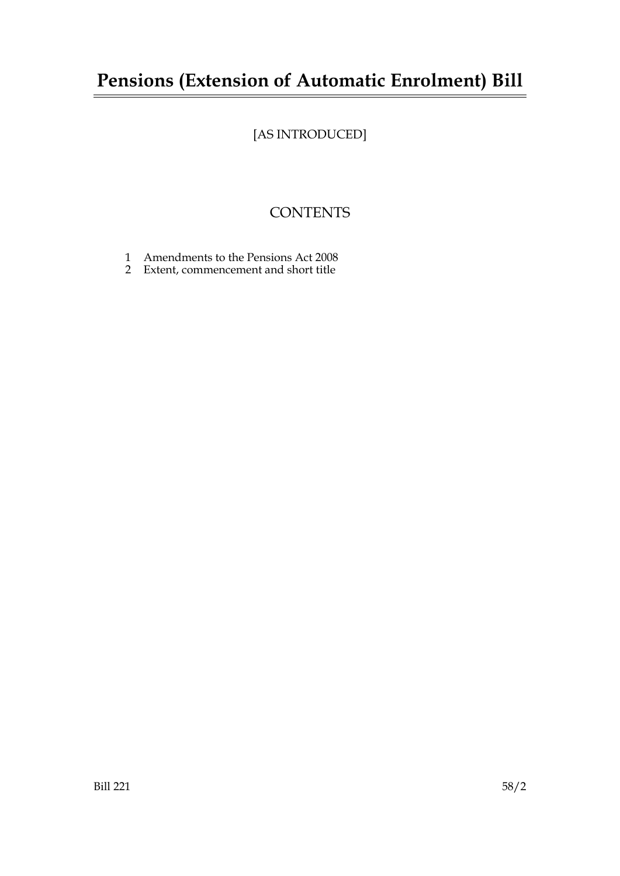## **Pensions (Extension of Automatic Enrolment) Bill**

## [AS INTRODUCED]

## **CONTENTS**

- 1 Amendments to the Pensions Act 2008
- 2 Extent, commencement and short title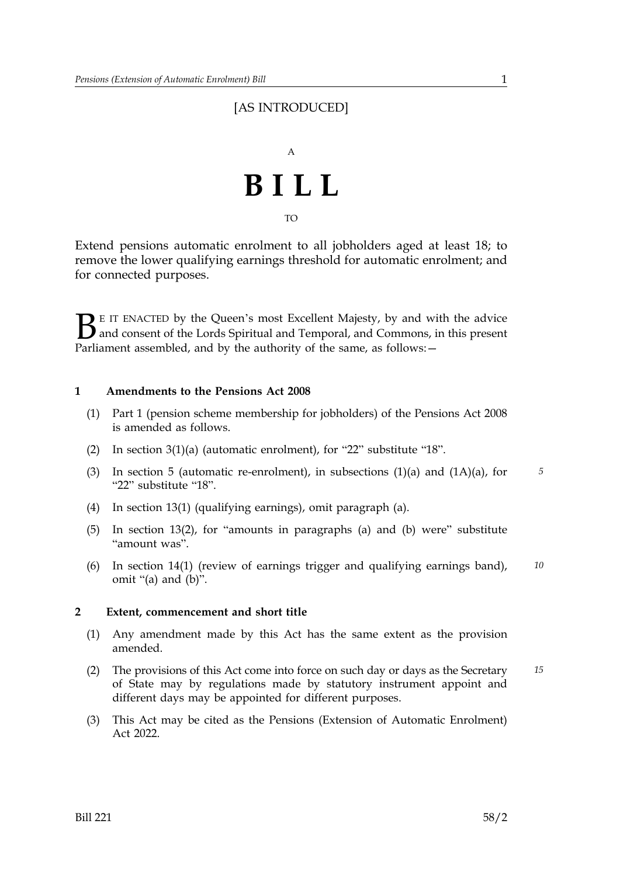### [AS INTRODUCED]



Extend pensions automatic enrolment to all jobholders aged at least 18; to remove the lower qualifying earnings threshold for automatic enrolment; and for connected purposes.

 $\sum$  E IT ENACTED by the Queen's most Excellent Majesty, by and with the advice<br>and consent of the Lords Spiritual and Temporal, and Commons, in this present<br>Parliament assembled, and by the authority of the same, as foll and consent of the Lords Spiritual and Temporal, and Commons, in this present Parliament assembled, and by the authority of the same, as follows: -

#### **1 Amendments to the Pensions Act 2008**

- (1) Part 1 (pension scheme membership for jobholders) of the Pensions Act 2008 is amended as follows.
- (2) In section 3(1)(a) (automatic enrolment), for "22" substitute "18".
- (3) In section 5 (automatic re-enrolment), in subsections (1)(a) and (1A)(a), for *5* "22" substitute "18".
- (4) In section 13(1) (qualifying earnings), omit paragraph (a).
- (5) In section 13(2), for "amounts in paragraphs (a) and (b) were" substitute "amount was".
- (6) In section 14(1) (review of earnings trigger and qualifying earnings band), *10* omit "(a) and (b)".

#### **2 Extent, commencement and short title**

- (1) Any amendment made by this Act has the same extent as the provision amended.
- (2) The provisions of this Act come into force on such day or days as the Secretary *15* of State may by regulations made by statutory instrument appoint and different days may be appointed for different purposes.
- (3) This Act may be cited as the Pensions (Extension of Automatic Enrolment) Act 2022.